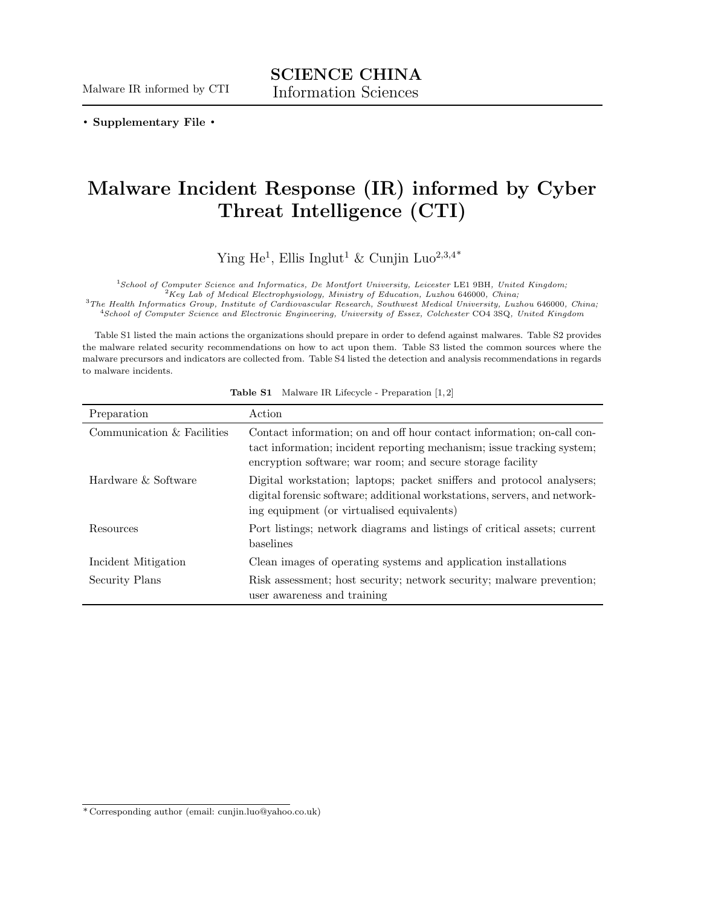**. Supplementary File .**

## **Malware Incident Response (IR) informed by Cyber Threat Intelligence (CTI)**

Ying He<sup>1</sup>, Ellis Inglut<sup>1</sup> & Cunjin Luo<sup>2,3,4\*</sup>

<sup>1</sup>*School of Computer Science and Informatics, De Montfort University, Leicester* LE1 9BH*, United Kingdom;*

<sup>2</sup>*Key Lab of Medical Electrophysiology, Ministry of Education, Luzhou* 646000*, China;*

<sup>3</sup>*The Health Informatics Group, Institute of Cardiovascular Research, Southwest Medical University, Luzhou* 646000*, China;*

<sup>4</sup>*School of Computer Science and Electronic Engineering, University of Essex, Colchester* CO4 3SQ*, United Kingdom*

Table S1 listed the main actions the organizations should prepare in order to defend against malwares. Table S2 provides the malware related security recommendations on how to act upon them. Table S3 listed the common sources where the malware precursors and indicators are collected from. Table S4 listed the detection and analysis recommendations in regards to malware incidents.

| Preparation                | Action                                                                                                                                                                                                         |
|----------------------------|----------------------------------------------------------------------------------------------------------------------------------------------------------------------------------------------------------------|
| Communication & Facilities | Contact information; on and off hour contact information; on-call con-<br>tact information; incident reporting mechanism; issue tracking system;<br>encryption software; war room; and secure storage facility |
| Hardware & Software        | Digital workstation; laptops; packet sniffers and protocol analysers;<br>digital forensic software; additional workstations, servers, and network-<br>ing equipment (or virtualised equivalents)               |
| Resources                  | Port listings; network diagrams and listings of critical assets; current<br>baselines                                                                                                                          |
| Incident Mitigation        | Clean images of operating systems and application installations                                                                                                                                                |
| Security Plans             | Risk assessment; host security; network security; malware prevention;<br>user awareness and training                                                                                                           |

**Table S1** Malware IR Lifecycle - Preparation [1, 2]

<sup>\*</sup> Corresponding author (email: cunjin.luo@yahoo.co.uk)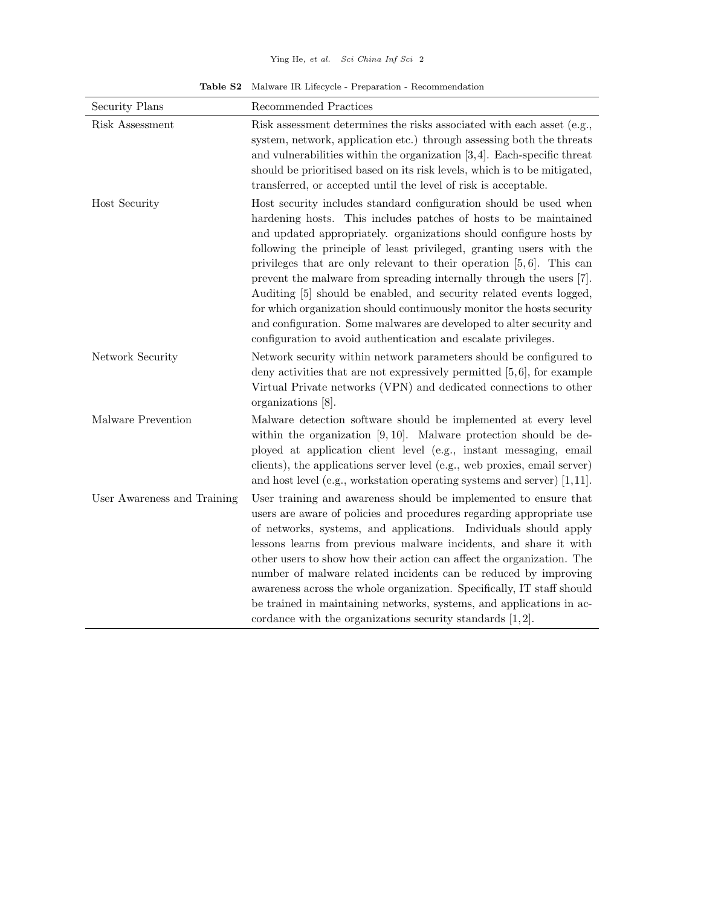**Table S2** Malware IR Lifecycle - Preparation - Recommendation

| Security Plans              | Recommended Practices                                                                                                                                                                                                                                                                                                                                                                                                                                                                                                                                                                                                                                                                                                             |
|-----------------------------|-----------------------------------------------------------------------------------------------------------------------------------------------------------------------------------------------------------------------------------------------------------------------------------------------------------------------------------------------------------------------------------------------------------------------------------------------------------------------------------------------------------------------------------------------------------------------------------------------------------------------------------------------------------------------------------------------------------------------------------|
| Risk Assessment             | Risk assessment determines the risks associated with each asset (e.g.,<br>system, network, application etc.) through assessing both the threats<br>and vulnerabilities within the organization $[3,4]$ . Each-specific threat<br>should be prioritised based on its risk levels, which is to be mitigated,<br>transferred, or accepted until the level of risk is acceptable.                                                                                                                                                                                                                                                                                                                                                     |
| Host Security               | Host security includes standard configuration should be used when<br>hardening hosts. This includes patches of hosts to be maintained<br>and updated appropriately. organizations should configure hosts by<br>following the principle of least privileged, granting users with the<br>privileges that are only relevant to their operation $[5, 6]$ . This can<br>prevent the malware from spreading internally through the users [7].<br>Auditing [5] should be enabled, and security related events logged,<br>for which organization should continuously monitor the hosts security<br>and configuration. Some malwares are developed to alter security and<br>configuration to avoid authentication and escalate privileges. |
| Network Security            | Network security within network parameters should be configured to<br>deny activities that are not expressively permitted $[5,6]$ , for example<br>Virtual Private networks (VPN) and dedicated connections to other<br>organizations [8].                                                                                                                                                                                                                                                                                                                                                                                                                                                                                        |
| Malware Prevention          | Malware detection software should be implemented at every level<br>within the organization $[9, 10]$ . Malware protection should be de-<br>ployed at application client level (e.g., instant messaging, email<br>clients), the applications server level (e.g., web proxies, email server)<br>and host level (e.g., workstation operating systems and server) $[1,11]$ .                                                                                                                                                                                                                                                                                                                                                          |
| User Awareness and Training | User training and awareness should be implemented to ensure that<br>users are aware of policies and procedures regarding appropriate use<br>of networks, systems, and applications. Individuals should apply<br>lessons learns from previous malware incidents, and share it with<br>other users to show how their action can affect the organization. The<br>number of malware related incidents can be reduced by improving<br>awareness across the whole organization. Specifically, IT staff should<br>be trained in maintaining networks, systems, and applications in ac-<br>cordance with the organizations security standards $[1,2]$ .                                                                                   |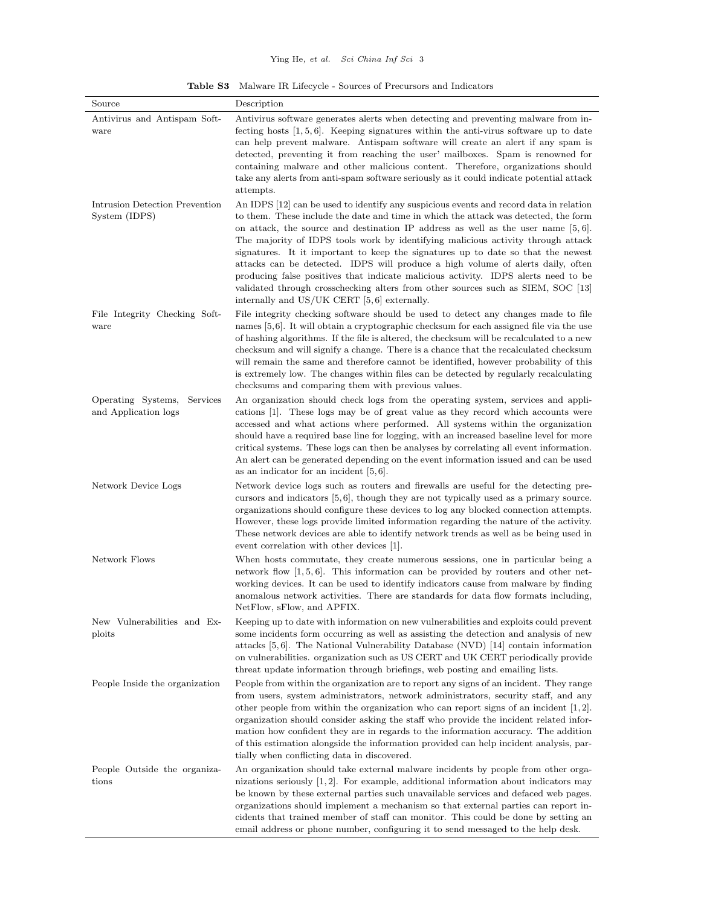**Table S3** Malware IR Lifecycle - Sources of Precursors and Indicators

| Source                                              | Description                                                                                                                                                                                                                                                                                                                                                                                                                                                                                                                                                                                                                                                                                                                                                 |
|-----------------------------------------------------|-------------------------------------------------------------------------------------------------------------------------------------------------------------------------------------------------------------------------------------------------------------------------------------------------------------------------------------------------------------------------------------------------------------------------------------------------------------------------------------------------------------------------------------------------------------------------------------------------------------------------------------------------------------------------------------------------------------------------------------------------------------|
| Antivirus and Antispam Soft-<br>ware                | Antivirus software generates alerts when detecting and preventing malware from in-<br>fecting hosts $\vert 1, 5, 6 \vert$ . Keeping signatures within the anti-virus software up to date<br>can help prevent malware. Antispam software will create an alert if any spam is<br>detected, preventing it from reaching the user' mailboxes. Spam is renowned for<br>containing malware and other malicious content. Therefore, organizations should<br>take any alerts from anti-spam software seriously as it could indicate potential attack<br>attempts.                                                                                                                                                                                                   |
| Intrusion Detection Prevention<br>System (IDPS)     | An IDPS [12] can be used to identify any suspicious events and record data in relation<br>to them. These include the date and time in which the attack was detected, the form<br>on attack, the source and destination IP address as well as the user name $[5, 6]$ .<br>The majority of IDPS tools work by identifying malicious activity through attack<br>signatures. It it important to keep the signatures up to date so that the newest<br>attacks can be detected. IDPS will produce a high volume of alerts daily, often<br>producing false positives that indicate malicious activity. IDPS alerts need to be<br>validated through crosschecking alters from other sources such as SIEM, SOC [13]<br>internally and $US/UK$ CERT [5,6] externally. |
| File Integrity Checking Soft-<br>ware               | File integrity checking software should be used to detect any changes made to file<br>names $[5,6]$ . It will obtain a cryptographic checksum for each assigned file via the use<br>of hashing algorithms. If the file is altered, the checksum will be recalculated to a new<br>checksum and will signify a change. There is a chance that the recalculated checksum<br>will remain the same and therefore cannot be identified, however probability of this<br>is extremely low. The changes within files can be detected by regularly recalculating<br>checksums and comparing them with previous values.                                                                                                                                                |
| Operating Systems, Services<br>and Application logs | An organization should check logs from the operating system, services and appli-<br>cations [1]. These logs may be of great value as they record which accounts were<br>accessed and what actions where performed. All systems within the organization<br>should have a required base line for logging, with an increased baseline level for more<br>critical systems. These logs can then be analyses by correlating all event information.<br>An alert can be generated depending on the event information issued and can be used<br>as an indicator for an incident $[5,6]$ .                                                                                                                                                                            |
| Network Device Logs                                 | Network device logs such as routers and firewalls are useful for the detecting pre-<br>cursors and indicators $[5,6]$ , though they are not typically used as a primary source.<br>organizations should configure these devices to log any blocked connection attempts.<br>However, these logs provide limited information regarding the nature of the activity.<br>These network devices are able to identify network trends as well as be being used in<br>event correlation with other devices [1].                                                                                                                                                                                                                                                      |
| Network Flows                                       | When hosts commutate, they create numerous sessions, one in particular being a<br>network flow $[1, 5, 6]$ . This information can be provided by routers and other net-<br>working devices. It can be used to identify indicators cause from malware by finding<br>anomalous network activities. There are standards for data flow formats including,<br>NetFlow, sFlow, and APFIX.                                                                                                                                                                                                                                                                                                                                                                         |
| New Vulnerabilities and Ex-<br>ploits               | Keeping up to date with information on new vulnerabilities and exploits could prevent<br>some incidents form occurring as well as assisting the detection and analysis of new<br>attacks [5,6]. The National Vulnerability Database (NVD) [14] contain information<br>on vulnerabilities. organization such as US CERT and UK CERT periodically provide<br>threat update information through briefings, web posting and emailing lists.                                                                                                                                                                                                                                                                                                                     |
| People Inside the organization                      | People from within the organization are to report any signs of an incident. They range<br>from users, system administrators, network administrators, security staff, and any<br>other people from within the organization who can report signs of an incident $ 1,2 $ .<br>organization should consider asking the staff who provide the incident related infor-<br>mation how confident they are in regards to the information accuracy. The addition<br>of this estimation alongside the information provided can help incident analysis, par-<br>tially when conflicting data in discovered.                                                                                                                                                             |
| People Outside the organiza-<br>tions               | An organization should take external malware incidents by people from other orga-<br>nizations seriously $ 1, 2 $ . For example, additional information about indicators may<br>be known by these external parties such unavailable services and defaced web pages.<br>organizations should implement a mechanism so that external parties can report in-<br>cidents that trained member of staff can monitor. This could be done by setting an<br>email address or phone number, configuring it to send messaged to the help desk.                                                                                                                                                                                                                         |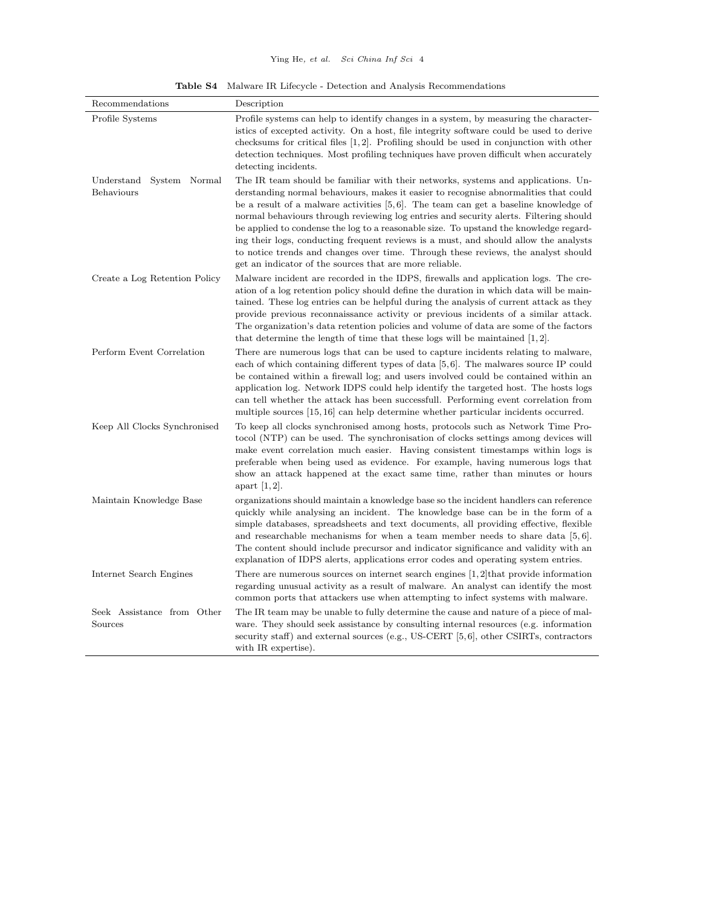| Recommendations                           | Description                                                                                                                                                                                                                                                                                                                                                                                                                                                                                                                                                                                                                                                                                   |
|-------------------------------------------|-----------------------------------------------------------------------------------------------------------------------------------------------------------------------------------------------------------------------------------------------------------------------------------------------------------------------------------------------------------------------------------------------------------------------------------------------------------------------------------------------------------------------------------------------------------------------------------------------------------------------------------------------------------------------------------------------|
| Profile Systems                           | Profile systems can help to identify changes in a system, by measuring the character-<br>istics of excepted activity. On a host, file integrity software could be used to derive<br>checksums for critical files $[1,2]$ . Profiling should be used in conjunction with other<br>detection techniques. Most profiling techniques have proven difficult when accurately<br>detecting incidents.                                                                                                                                                                                                                                                                                                |
| Understand<br>System Normal<br>Behaviours | The IR team should be familiar with their networks, systems and applications. Un-<br>derstanding normal behaviours, makes it easier to recognise abnormalities that could<br>be a result of a malware activities $[5,6]$ . The team can get a baseline knowledge of<br>normal behaviours through reviewing log entries and security alerts. Filtering should<br>be applied to condense the log to a reasonable size. To upstand the knowledge regard-<br>ing their logs, conducting frequent reviews is a must, and should allow the analysts<br>to notice trends and changes over time. Through these reviews, the analyst should<br>get an indicator of the sources that are more reliable. |
| Create a Log Retention Policy             | Malware incident are recorded in the IDPS, firewalls and application logs. The cre-<br>ation of a log retention policy should define the duration in which data will be main-<br>tained. These log entries can be helpful during the analysis of current attack as they<br>provide previous reconnaissance activity or previous incidents of a similar attack.<br>The organization's data retention policies and volume of data are some of the factors<br>that determine the length of time that these logs will be maintained $(1,2)$ .                                                                                                                                                     |
| Perform Event Correlation                 | There are numerous logs that can be used to capture incidents relating to malware,<br>each of which containing different types of data $[5,6]$ . The malwares source IP could<br>be contained within a firewall log; and users involved could be contained within an<br>application log. Network IDPS could help identify the targeted host. The hosts logs<br>can tell whether the attack has been successfull. Performing event correlation from<br>multiple sources [15, 16] can help determine whether particular incidents occurred.                                                                                                                                                     |
| Keep All Clocks Synchronised              | To keep all clocks synchronised among hosts, protocols such as Network Time Pro-<br>tocol (NTP) can be used. The synchronisation of clocks settings among devices will<br>make event correlation much easier. Having consistent timestamps within logs is<br>preferable when being used as evidence. For example, having numerous logs that<br>show an attack happened at the exact same time, rather than minutes or hours<br>apart $ 1, 2 $ .                                                                                                                                                                                                                                               |
| Maintain Knowledge Base                   | organizations should maintain a knowledge base so the incident handlers can reference<br>quickly while analysing an incident. The knowledge base can be in the form of a<br>simple databases, spreadsheets and text documents, all providing effective, flexible<br>and researchable mechanisms for when a team member needs to share data $[5, 6]$ .<br>The content should include precursor and indicator significance and validity with an<br>explanation of IDPS alerts, applications error codes and operating system entries.                                                                                                                                                           |
| Internet Search Engines                   | There are numerous sources on internet search engines $[1,2]$ that provide information<br>regarding unusual activity as a result of malware. An analyst can identify the most<br>common ports that attackers use when attempting to infect systems with malware.                                                                                                                                                                                                                                                                                                                                                                                                                              |
| Seek Assistance from Other<br>Sources     | The IR team may be unable to fully determine the cause and nature of a piece of mal-<br>ware. They should seek assistance by consulting internal resources (e.g. information<br>security staff) and external sources (e.g., US-CERT $[5,6]$ , other CSIRTs, contractors<br>with IR expertise).                                                                                                                                                                                                                                                                                                                                                                                                |

**Table S4** Malware IR Lifecycle - Detection and Analysis Recommendations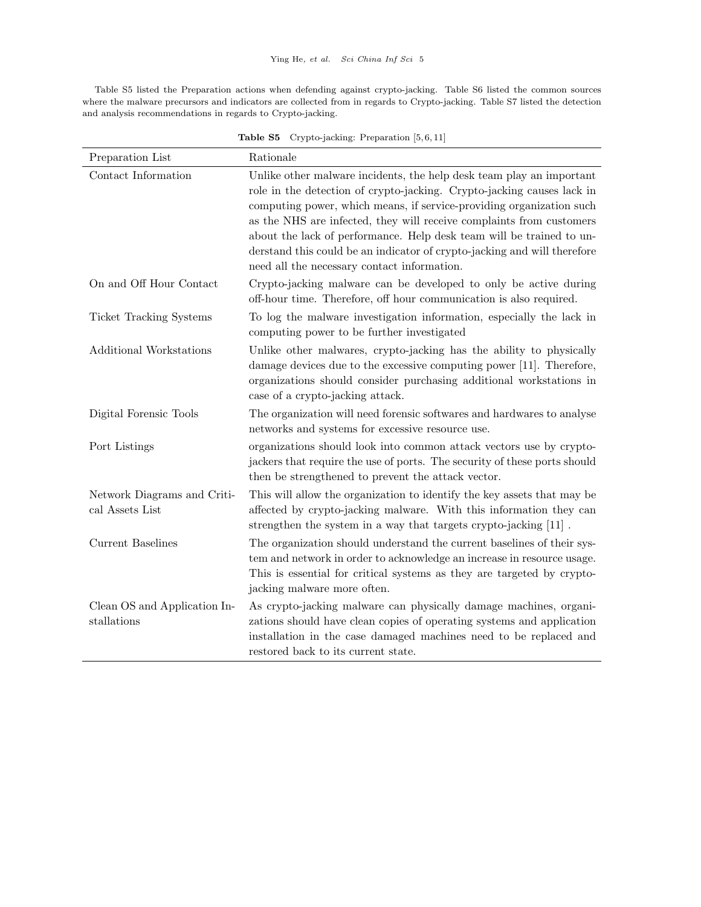Table S5 listed the Preparation actions when defending against crypto-jacking. Table S6 listed the common sources where the malware precursors and indicators are collected from in regards to Crypto-jacking. Table S7 listed the detection and analysis recommendations in regards to Crypto-jacking.

| Preparation List                               | Rationale                                                                                                                                                                                                                                                                                                                                                                                                                                                                                         |
|------------------------------------------------|---------------------------------------------------------------------------------------------------------------------------------------------------------------------------------------------------------------------------------------------------------------------------------------------------------------------------------------------------------------------------------------------------------------------------------------------------------------------------------------------------|
| Contact Information                            | Unlike other malware incidents, the help desk team play an important<br>role in the detection of crypto-jacking. Crypto-jacking causes lack in<br>computing power, which means, if service-providing organization such<br>as the NHS are infected, they will receive complaints from customers<br>about the lack of performance. Help desk team will be trained to un-<br>derstand this could be an indicator of crypto-jacking and will therefore<br>need all the necessary contact information. |
| On and Off Hour Contact                        | Crypto-jacking malware can be developed to only be active during<br>off-hour time. Therefore, off hour communication is also required.                                                                                                                                                                                                                                                                                                                                                            |
| <b>Ticket Tracking Systems</b>                 | To log the malware investigation information, especially the lack in<br>computing power to be further investigated                                                                                                                                                                                                                                                                                                                                                                                |
| <b>Additional Workstations</b>                 | Unlike other malwares, crypto-jacking has the ability to physically<br>damage devices due to the excessive computing power [11]. Therefore,<br>organizations should consider purchasing additional workstations in<br>case of a crypto-jacking attack.                                                                                                                                                                                                                                            |
| Digital Forensic Tools                         | The organization will need forensic softwares and hardwares to analyse<br>networks and systems for excessive resource use.                                                                                                                                                                                                                                                                                                                                                                        |
| Port Listings                                  | organizations should look into common attack vectors use by crypto-<br>jackers that require the use of ports. The security of these ports should<br>then be strengthened to prevent the attack vector.                                                                                                                                                                                                                                                                                            |
| Network Diagrams and Criti-<br>cal Assets List | This will allow the organization to identify the key assets that may be<br>affected by crypto-jacking malware. With this information they can<br>strengthen the system in a way that targets crypto-jacking [11].                                                                                                                                                                                                                                                                                 |
| <b>Current Baselines</b>                       | The organization should understand the current baselines of their sys-<br>tem and network in order to acknowledge an increase in resource usage.<br>This is essential for critical systems as they are targeted by crypto-<br>jacking malware more often.                                                                                                                                                                                                                                         |
| Clean OS and Application In-<br>stallations    | As crypto-jacking malware can physically damage machines, organi-<br>zations should have clean copies of operating systems and application<br>installation in the case damaged machines need to be replaced and<br>restored back to its current state.                                                                                                                                                                                                                                            |

**Table S5** Crypto-jacking: Preparation [5, 6, 11]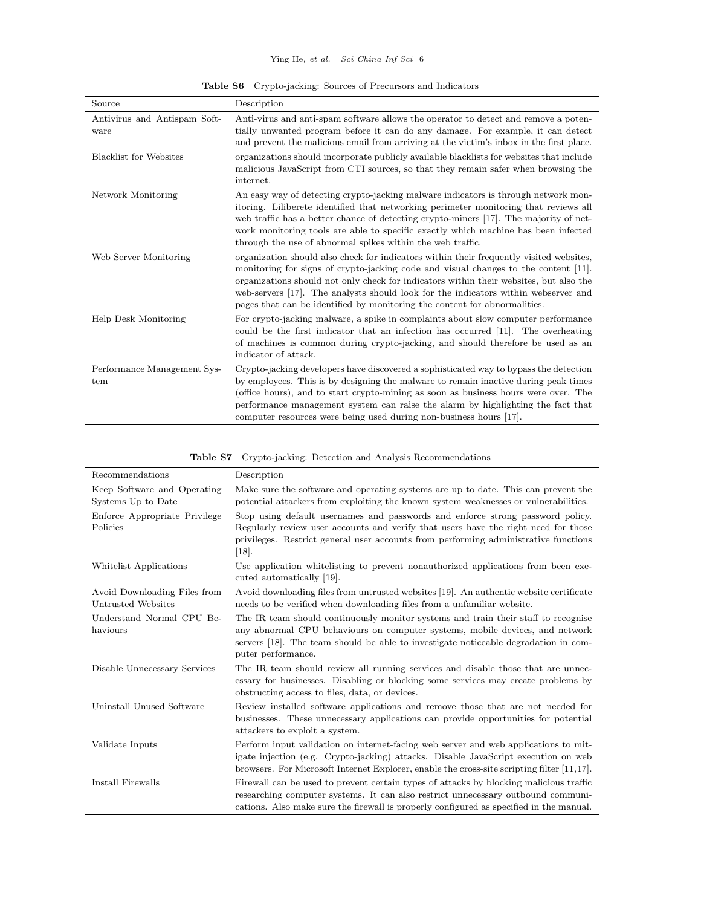|  |  | <b>Table S6</b> Crypto-jacking: Sources of Precursors and Indicators |  |
|--|--|----------------------------------------------------------------------|--|
|--|--|----------------------------------------------------------------------|--|

| Source                               | Description                                                                                                                                                                                                                                                                                                                                                                                                                                 |
|--------------------------------------|---------------------------------------------------------------------------------------------------------------------------------------------------------------------------------------------------------------------------------------------------------------------------------------------------------------------------------------------------------------------------------------------------------------------------------------------|
| Antivirus and Antispam Soft-<br>ware | Anti-virus and anti-spam software allows the operator to detect and remove a poten-<br>tially unwanted program before it can do any damage. For example, it can detect<br>and prevent the malicious email from arriving at the victim's inbox in the first place.                                                                                                                                                                           |
| <b>Blacklist for Websites</b>        | organizations should incorporate publicly available blacklists for websites that include<br>malicious JavaScript from CTI sources, so that they remain safer when browsing the<br>internet.                                                                                                                                                                                                                                                 |
| Network Monitoring                   | An easy way of detecting crypto-jacking malware indicators is through network mon-<br>itoring. Liliberete identified that networking perimeter monitoring that reviews all<br>web traffic has a better chance of detecting crypto-miners [17]. The majority of net-<br>work monitoring tools are able to specific exactly which machine has been infected<br>through the use of abnormal spikes within the web traffic.                     |
| Web Server Monitoring                | organization should also check for indicators within their frequently visited websites,<br>monitoring for signs of crypto-jacking code and visual changes to the content [11].<br>organizations should not only check for indicators within their websites, but also the<br>web-servers [17]. The analysts should look for the indicators within webserver and<br>pages that can be identified by monitoring the content for abnormalities. |
| Help Desk Monitoring                 | For crypto-jacking malware, a spike in complaints about slow computer performance<br>could be the first indicator that an infection has occurred [11]. The overheating<br>of machines is common during crypto-jacking, and should therefore be used as an<br>indicator of attack.                                                                                                                                                           |
| Performance Management Sys-<br>tem   | Crypto-jacking developers have discovered a sophisticated way to bypass the detection<br>by employees. This is by designing the malware to remain inactive during peak times<br>(office hours), and to start crypto-mining as soon as business hours were over. The<br>performance management system can raise the alarm by highlighting the fact that<br>computer resources were being used during non-business hours [17].                |

|  |  | <b>Table S7</b> Crypto-jacking: Detection and Analysis Recommendations |  |
|--|--|------------------------------------------------------------------------|--|
|  |  |                                                                        |  |

| Recommendations                                    | Description                                                                                                                                                                                                                                                                       |
|----------------------------------------------------|-----------------------------------------------------------------------------------------------------------------------------------------------------------------------------------------------------------------------------------------------------------------------------------|
| Keep Software and Operating<br>Systems Up to Date  | Make sure the software and operating systems are up to date. This can prevent the<br>potential attackers from exploiting the known system weaknesses or vulnerabilities.                                                                                                          |
| Enforce Appropriate Privilege<br>Policies          | Stop using default usernames and passwords and enforce strong password policy.<br>Regularly review user accounts and verify that users have the right need for those<br>privileges. Restrict general user accounts from performing administrative functions<br>$\left[18\right].$ |
| Whitelist Applications                             | Use application white listing to prevent nonauthorized applications from been exe-<br>cuted automatically [19].                                                                                                                                                                   |
| Avoid Downloading Files from<br>Untrusted Websites | Avoid downloading files from untrusted websites [19]. An authentic website certificate<br>needs to be verified when downloading files from a unfamiliar website.                                                                                                                  |
| Understand Normal CPU Be-<br>haviours              | The IR team should continuously monitor systems and train their staff to recognise<br>any abnormal CPU behaviours on computer systems, mobile devices, and network<br>servers [18]. The team should be able to investigate noticeable degradation in com-<br>puter performance.   |
| Disable Unnecessary Services                       | The IR team should review all running services and disable those that are unnec-<br>essary for businesses. Disabling or blocking some services may create problems by<br>obstructing access to files, data, or devices.                                                           |
| Uninstall Unused Software                          | Review installed software applications and remove those that are not needed for<br>businesses. These unnecessary applications can provide opportunities for potential<br>attackers to exploit a system.                                                                           |
| Validate Inputs                                    | Perform input validation on internet-facing web server and web applications to mit-<br>igate injection (e.g. Crypto-jacking) attacks. Disable JavaScript execution on web<br>browsers. For Microsoft Internet Explorer, enable the cross-site scripting filter $[11,17]$ .        |
| Install Firewalls                                  | Firewall can be used to prevent certain types of attacks by blocking malicious traffic<br>researching computer systems. It can also restrict unnecessary outbound communi-<br>cations. Also make sure the firewall is properly configured as specified in the manual.             |